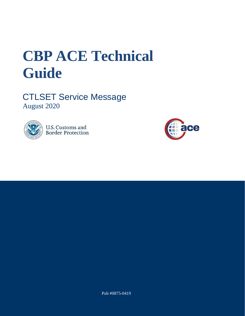# **CBP ACE Technical Guide**

CTLSET Service Message August 2020



**U.S. Customs and Border Protection** 



Pub #0875-0419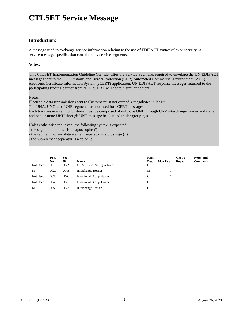## **CTLSET Service Message**

#### **Introduction:**

A message used to exchange service information relating to the use of EDIFACT syntax rules or security. A service message specification contains only service segments.

#### **Notes:**

This CTLSET Implementation Guideline (IG) identifies the Service Segments required to envelope the UN EDIFACT messages sent to the U.S. Customs and Border Protection (CBP) Automated Commercial Environment (ACE) electronic Certificate Information System (eCERT) application. UN EDIFACT response messages returned to the participating trading partner from ACE eCERT will contain similar content.

Notes:

Electronic data transmissions sent to Customs must not exceed 4 megabytes in length.

The UNA, UNG, and UNE segments are not used for eCERT messages.

Each transmission sent to Customs must be comprised of only one UNB through UNZ interchange header and trailer and one or more UNH through UNT message header and trailer groupings.

Unless otherwise requested, the following syntax is expected:

- the segment delimiter is an apostrophe (')

- the segment tag and data element separator is a plus sign (+)

the sub-element separator is a colon  $(:).$ 

| Not Used | Pos.<br><u>No.</u><br>0010 | Seg.<br>$\mathbf{D}$<br><b>UNA</b> | Name<br>UNA Service String Advice | Req.<br>Des.<br>$\Gamma$<br>◡ | Max.Use | <b>Group</b><br><b>Repeat</b> | <b>Notes and</b><br>Comments |
|----------|----------------------------|------------------------------------|-----------------------------------|-------------------------------|---------|-------------------------------|------------------------------|
| M        | 0020                       | <b>UNB</b>                         | Interchange Header                | M                             |         |                               |                              |
| Not Used | 0030                       | <b>UNG</b>                         | <b>Functional Group Header</b>    |                               |         |                               |                              |
| Not Used | 0040                       | <b>UNE</b>                         | <b>Functional Group Trailer</b>   |                               |         |                               |                              |
| M        | 0050                       | <b>UNZ</b>                         | Interchange Trailer               |                               |         |                               |                              |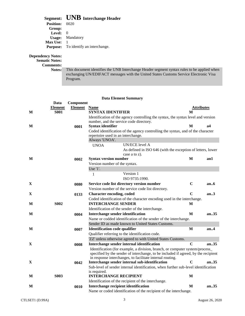### **Segment: UNB Interchange Header**

| , , <u>,</u> ,  , .   |                                             |
|-----------------------|---------------------------------------------|
| <b>Position:</b> 0020 |                                             |
| Group:                |                                             |
| Level:                | $\Omega$                                    |
|                       | <b>Usage:</b> Mandatory                     |
| <b>Max Use:</b>       |                                             |
|                       | <b>Purpose:</b> To identify an interchange. |
|                       |                                             |

#### **Dependency Notes:**

**Sematic Notes:**

**Comments:**

**Notes:** This document identifies the UNB Interchange Header segment syntax rules to be applied when exchanging UN/EDIFACT messages with the United States Customs Service Electronic Visa Program.

#### **Data Element Summary**

|             | Data        | Component           |                                                                 |                                                                                    |                   |      |
|-------------|-------------|---------------------|-----------------------------------------------------------------|------------------------------------------------------------------------------------|-------------------|------|
|             | Element     | <b>Element</b> Name |                                                                 |                                                                                    | <b>Attributes</b> |      |
| M           | <b>S001</b> |                     | <b>SYNTAX IDENTIFIER</b>                                        |                                                                                    | M                 |      |
|             |             |                     |                                                                 | Identification of the agency controlling the syntax, the syntax level and version  |                   |      |
|             |             |                     |                                                                 | number, and the service code directory.                                            |                   |      |
| M           |             | 0001                | Syntax identifier                                               |                                                                                    | M                 | а4   |
|             |             |                     |                                                                 | Coded identification of the agency controlling the syntax, and of the character    |                   |      |
|             |             |                     | repertoire used in an interchange.                              |                                                                                    |                   |      |
|             |             |                     | Always 'UNOA'.                                                  |                                                                                    |                   |      |
|             |             |                     | <b>UNOA</b>                                                     | UN/ECE level A                                                                     |                   |      |
|             |             |                     |                                                                 | As defined in ISO 646 (with the exception of letters, lower                        |                   |      |
|             |             |                     |                                                                 | case a to $z$ ).                                                                   |                   |      |
| M           |             | 0002                | <b>Syntax version number</b>                                    |                                                                                    | M                 | an1  |
|             |             |                     | Version number of the syntax.                                   |                                                                                    |                   |      |
|             |             |                     | Use '1'.                                                        |                                                                                    |                   |      |
|             |             |                     | 1                                                               | Version 1                                                                          |                   |      |
|             |             |                     |                                                                 | ISO 9735:1990.                                                                     |                   |      |
| X           |             | 0080                |                                                                 | Service code list directory version number                                         | $\mathbf C$       | an.6 |
|             |             |                     |                                                                 | Version number of the service code list directory.                                 |                   |      |
| X           |             | 0133                | <b>Character encoding, coded</b>                                |                                                                                    | $\mathbf C$       | an.3 |
|             |             |                     |                                                                 | Coded identification of the character encoding used in the interchange.            |                   |      |
| M           | <b>S002</b> |                     | <b>INTERCHANGE SENDER</b>                                       |                                                                                    | М                 |      |
|             |             |                     |                                                                 | Identification of the sender of the interchange.                                   |                   |      |
| M           |             | 0004                | M<br>Interchange sender identification                          |                                                                                    |                   | an35 |
|             |             |                     | Name or codded identification of the sender of the interchange. |                                                                                    |                   |      |
|             |             |                     | Sender ID as made known to United States Customs.               |                                                                                    |                   |      |
| M           |             | 0007                | <b>Identification code qualifier</b>                            |                                                                                    | M                 | an.4 |
|             |             |                     |                                                                 | Qualifier referring to the identification code.                                    |                   |      |
|             |             |                     |                                                                 | 'ZZ' unless otherwise agreed to with United States Customs.                        |                   |      |
| X           |             | 0008                |                                                                 | Interchange sender internal identification                                         | $\mathbf C$       | an35 |
|             |             |                     |                                                                 | Identification (for example, a division, branch, or computer system/process_       |                   |      |
|             |             |                     |                                                                 | specified by the sender of interchange, to be included if agreed, by the recipient |                   |      |
|             |             |                     |                                                                 | in response interchanges, to facilitate internal routing.                          |                   |      |
| $\mathbf X$ |             | 0042                |                                                                 | Interchange sender internal sub-identification                                     | C                 | an35 |
|             |             |                     |                                                                 | Sub-level of sender internal identification, when further sub-level identification |                   |      |
| M           | <b>S003</b> |                     | is required.<br><b>INTERCHANGE RECIPIENT</b>                    |                                                                                    | M                 |      |
|             |             |                     |                                                                 | Identification of the recipient of the interchange.                                |                   |      |
|             |             |                     |                                                                 |                                                                                    | M                 | an35 |
| M           |             | 0010                | Interchange recipient identification                            |                                                                                    |                   |      |
|             |             |                     |                                                                 | Name or coded identification of the recipient of the interchange.                  |                   |      |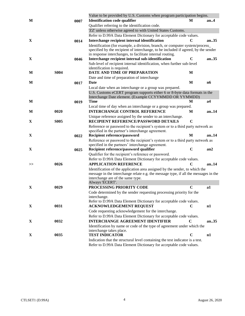|    |             |      | Value to be provided by U.S. Customs when program participation begins.                                        |             |          |  |
|----|-------------|------|----------------------------------------------------------------------------------------------------------------|-------------|----------|--|
| M  |             | 0007 | <b>Identification code qualifier</b>                                                                           | М           | an.4     |  |
|    |             |      | Qualifier referring to the identification code.                                                                |             |          |  |
|    |             |      | 'ZZ' unless otherwise agreed to with United States Customs.                                                    |             |          |  |
|    |             |      | Refer to D.99A Data Element Dictionary for acceptable code values.                                             |             |          |  |
| X  |             | 0014 | Interchange recipient internal identification                                                                  |             | an35     |  |
|    |             |      | Identification (for example, a division, branch, or computer system/process_                                   |             |          |  |
|    |             |      | specified by the recipient of interchange, to be included if agreed, by the sender                             |             |          |  |
| X  |             |      | in response interchanges, to facilitate internal routing.<br>Interchange recipient internal sub-identification | $\mathbf C$ | an. $35$ |  |
|    |             | 0046 |                                                                                                                |             |          |  |
|    |             |      | Sub-level of recipient internal identification, when further sub-level<br>identification is required.          |             |          |  |
| M  | <b>S004</b> |      | DATE AND TIME OF PREPARATION                                                                                   | M           |          |  |
|    |             |      | Date and time of preparation of interchange                                                                    |             |          |  |
| M  |             | 0017 | Date                                                                                                           | M           | n6       |  |
|    |             |      | Local date when an interchange or a group was prepared.                                                        |             |          |  |
|    |             |      | U.S. Customs eCERT program supports either 6 or 8-byte data formats in the                                     |             |          |  |
|    |             |      | Interchange Date element. (Example CCYYMMDD OR YYMMDD)                                                         |             |          |  |
| M  |             | 0019 | <b>Time</b>                                                                                                    | M           | a4       |  |
|    |             |      | Local time of day when an interchange or a group was prepared.                                                 |             |          |  |
| М  | 0020        |      | <b>INTERCHANGE CONTROL REFERENCE</b>                                                                           | M           | an.14    |  |
|    |             |      | Unique reference assigned by the sender to an interchange.                                                     |             |          |  |
| X  | <b>S005</b> |      | RECIPIENT REFERENCE/PASSWORD DETAILS                                                                           | $\mathbf C$ |          |  |
|    |             |      | Reference or password to the recipient's system or to a third party network as                                 |             |          |  |
|    |             |      | specified in the partner's interchange agreement.                                                              |             |          |  |
| X  |             | 0022 | <b>Recipient reference/password</b>                                                                            | M           | an14     |  |
|    |             |      | Reference or password to the recipient's system or to a third party network as                                 |             |          |  |
|    |             |      | specified in the partners' interchange agreement.                                                              |             |          |  |
| X  |             | 0025 | Recipient reference/password qualifier                                                                         | $\mathbf C$ | an2      |  |
|    |             |      | Qualifier for the recipient's reference or password.                                                           |             |          |  |
|    | 0026        |      | Refer to D.99A Data Element Dictionary for acceptable code values.<br><b>APPLICATION REFERENCE</b>             |             | an $14$  |  |
| >> |             |      | Identification of the application area assigned by the sender, to which the                                    |             |          |  |
|    |             |      | message in the interchange relate e.g. the message type, if all the messages in the                            |             |          |  |
|    |             |      | interchange are of the same type.                                                                              |             |          |  |
|    |             |      | Always 'ECERT'.                                                                                                |             |          |  |
| X  | 0029        |      | PROCESSING PRIORITY CODE                                                                                       | $\mathbf C$ | a1       |  |
|    |             |      | Code determined by the sender requesting processing priority for the                                           |             |          |  |
|    |             |      | interchange.                                                                                                   |             |          |  |
|    |             |      | Refer to D.99A Data Element Dictionary for acceptable code values.                                             |             |          |  |
| X  | 0031        |      | <b>ACKNOWLEDGEMENT REQUEST</b>                                                                                 | $\mathbf C$ | n1       |  |
|    |             |      | Code requesting acknowledgement for the interchange.                                                           |             |          |  |
|    |             |      | Refer to D.99A Data Element Dictionary for acceptable code values.                                             |             |          |  |
| X  | 0032        |      | <b>INTERCHANGE AGREEMENT IDENTIFIER</b>                                                                        | $\mathbf C$ | an. $35$ |  |
|    |             |      | Identification by name or code of the type of agreement under which the                                        |             |          |  |
|    |             |      | interchange takes place.                                                                                       |             |          |  |
| X  | 0035        |      | <b>TEST INDICATOR</b>                                                                                          | $\mathbf C$ | n1       |  |
|    |             |      | Indication that the structural level containing the test indicator is a test.                                  |             |          |  |
|    |             |      | Refer to D.99A Data Element Dictionary for acceptable code values.                                             |             |          |  |